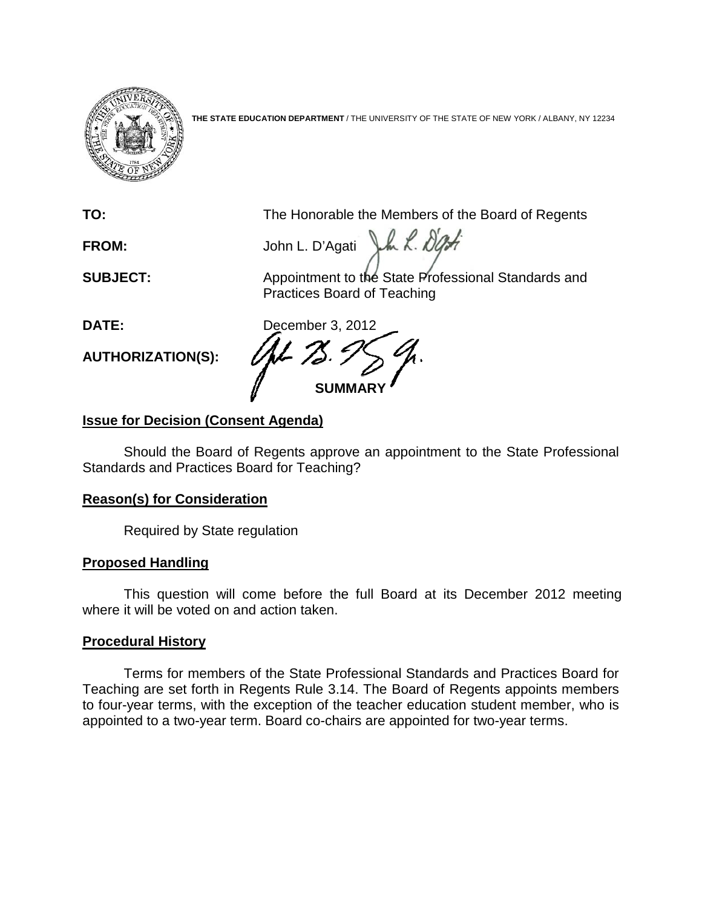

**THE STATE EDUCATION DEPARTMENT** / THE UNIVERSITY OF THE STATE OF NEW YORK / ALBANY, NY 12234

**TO:** The Honorable the Members of the Board of Regents

FROM: John L. D'Agati J.h. L. D'Art

**SUBJECT:** Appointment to the State Professional Standards and Practices Board of Teaching

**AUTHORIZATION(S):**

**DATE:** December 3, 2012 **SUMMARY**

# **Issue for Decision (Consent Agenda)**

Should the Board of Regents approve an appointment to the State Professional Standards and Practices Board for Teaching?

## **Reason(s) for Consideration**

Required by State regulation

## **Proposed Handling**

This question will come before the full Board at its December 2012 meeting where it will be voted on and action taken.

## **Procedural History**

Terms for members of the State Professional Standards and Practices Board for Teaching are set forth in Regents Rule 3.14. The Board of Regents appoints members to four-year terms, with the exception of the teacher education student member, who is appointed to a two-year term. Board co-chairs are appointed for two-year terms.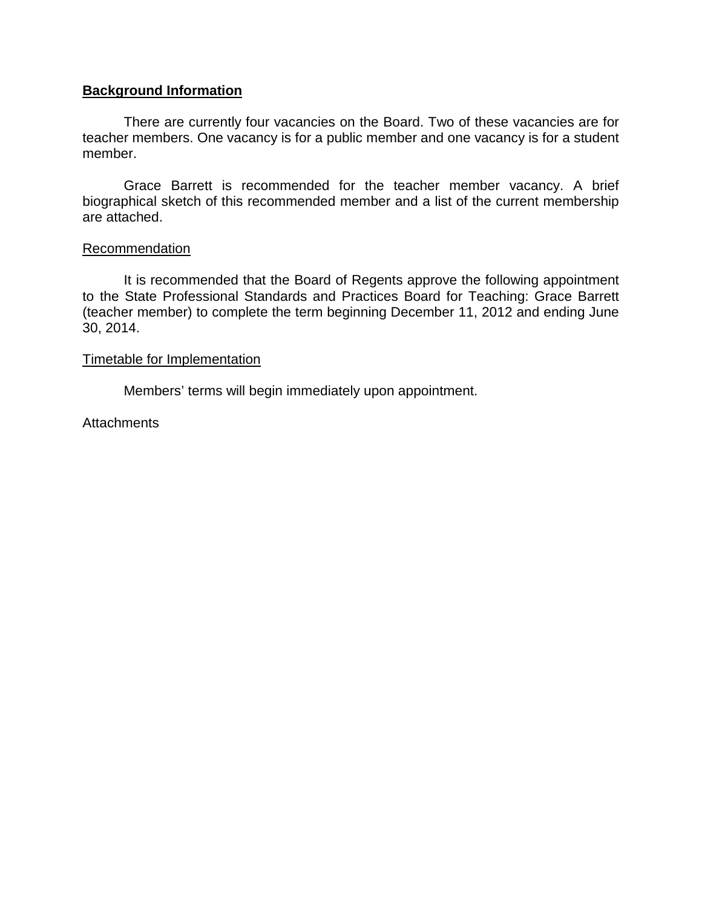## **Background Information**

There are currently four vacancies on the Board. Two of these vacancies are for teacher members. One vacancy is for a public member and one vacancy is for a student member.

Grace Barrett is recommended for the teacher member vacancy. A brief biographical sketch of this recommended member and a list of the current membership are attached.

### Recommendation

It is recommended that the Board of Regents approve the following appointment to the State Professional Standards and Practices Board for Teaching: Grace Barrett (teacher member) to complete the term beginning December 11, 2012 and ending June 30, 2014.

### Timetable for Implementation

Members' terms will begin immediately upon appointment.

**Attachments**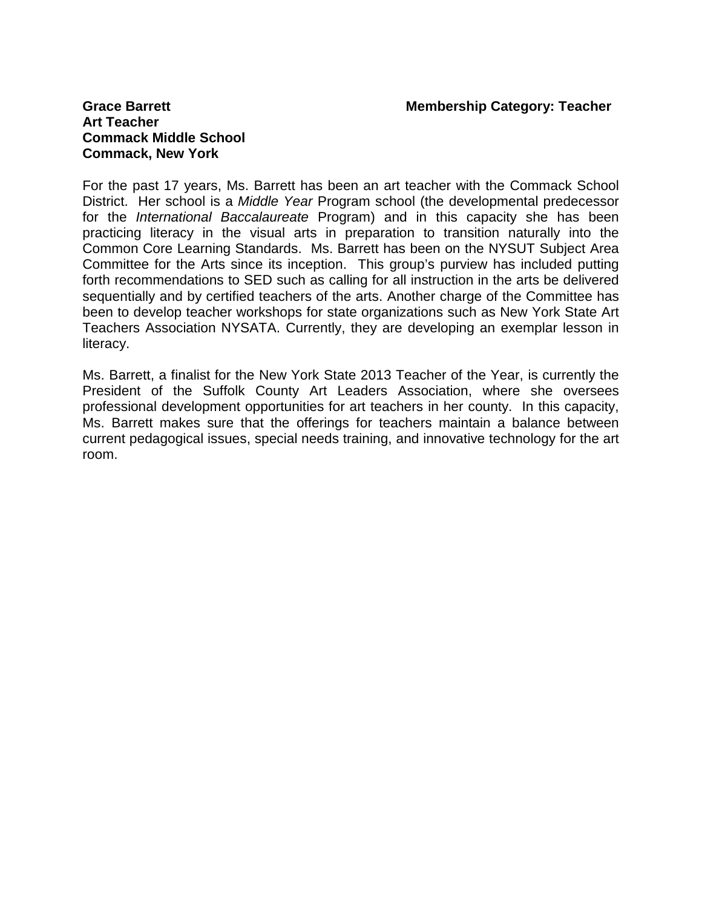# **Art Teacher Commack Middle School Commack, New York**

For the past 17 years, Ms. Barrett has been an art teacher with the Commack School District. Her school is a *Middle Year* Program school (the developmental predecessor for the *International Baccalaureate* Program) and in this capacity she has been practicing literacy in the visual arts in preparation to transition naturally into the Common Core Learning Standards. Ms. Barrett has been on the NYSUT Subject Area Committee for the Arts since its inception. This group's purview has included putting forth recommendations to SED such as calling for all instruction in the arts be delivered sequentially and by certified teachers of the arts. Another charge of the Committee has been to develop teacher workshops for state organizations such as New York State Art Teachers Association NYSATA. Currently, they are developing an exemplar lesson in literacy.

Ms. Barrett, a finalist for the New York State 2013 Teacher of the Year, is currently the President of the Suffolk County Art Leaders Association, where she oversees professional development opportunities for art teachers in her county. In this capacity, Ms. Barrett makes sure that the offerings for teachers maintain a balance between current pedagogical issues, special needs training, and innovative technology for the art room.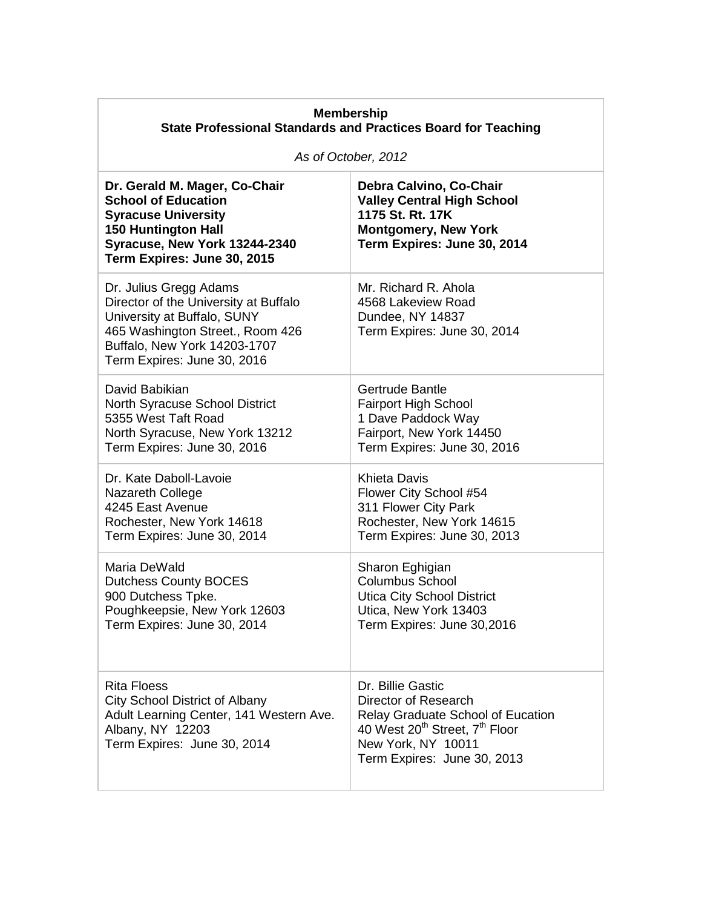| <b>Membership</b><br><b>State Professional Standards and Practices Board for Teaching</b>                                                                                                         |                                                                                                                                                                                                      |
|---------------------------------------------------------------------------------------------------------------------------------------------------------------------------------------------------|------------------------------------------------------------------------------------------------------------------------------------------------------------------------------------------------------|
| As of October, 2012                                                                                                                                                                               |                                                                                                                                                                                                      |
| Dr. Gerald M. Mager, Co-Chair<br><b>School of Education</b><br><b>Syracuse University</b><br><b>150 Huntington Hall</b><br>Syracuse, New York 13244-2340<br>Term Expires: June 30, 2015           | Debra Calvino, Co-Chair<br><b>Valley Central High School</b><br>1175 St. Rt. 17K<br><b>Montgomery, New York</b><br>Term Expires: June 30, 2014                                                       |
| Dr. Julius Gregg Adams<br>Director of the University at Buffalo<br>University at Buffalo, SUNY<br>465 Washington Street., Room 426<br>Buffalo, New York 14203-1707<br>Term Expires: June 30, 2016 | Mr. Richard R. Ahola<br>4568 Lakeview Road<br>Dundee, NY 14837<br>Term Expires: June 30, 2014                                                                                                        |
| David Babikian<br>North Syracuse School District<br>5355 West Taft Road<br>North Syracuse, New York 13212<br>Term Expires: June 30, 2016                                                          | Gertrude Bantle<br><b>Fairport High School</b><br>1 Dave Paddock Way<br>Fairport, New York 14450<br>Term Expires: June 30, 2016                                                                      |
| Dr. Kate Daboll-Lavoie<br>Nazareth College<br>4245 East Avenue<br>Rochester, New York 14618<br>Term Expires: June 30, 2014                                                                        | <b>Khieta Davis</b><br>Flower City School #54<br>311 Flower City Park<br>Rochester, New York 14615<br>Term Expires: June 30, 2013                                                                    |
| Maria DeWald<br><b>Dutchess County BOCES</b><br>900 Dutchess Tpke.<br>Poughkeepsie, New York 12603<br>Term Expires: June 30, 2014                                                                 | Sharon Eghigian<br><b>Columbus School</b><br><b>Utica City School District</b><br>Utica. New York 13403<br>Term Expires: June 30,2016                                                                |
| Rita Floess<br>City School District of Albany<br>Adult Learning Center, 141 Western Ave.<br>Albany, NY 12203<br>Term Expires: June 30, 2014                                                       | Dr. Billie Gastic<br>Director of Research<br><b>Relay Graduate School of Eucation</b><br>40 West 20 <sup>th</sup> Street, 7 <sup>th</sup> Floor<br>New York, NY 10011<br>Term Expires: June 30, 2013 |